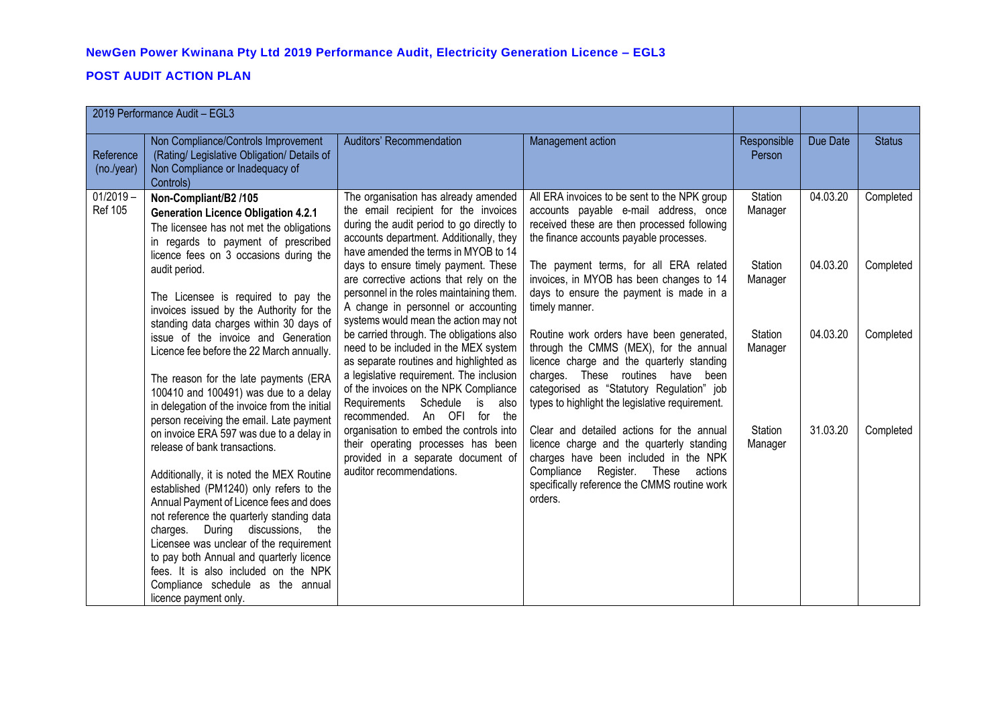## **POST AUDIT ACTION PLAN**

| 2019 Performance Audit - EGL3 |                                                                                                                                                                                                                                                                                                                                                                                                                                                                                               |                                                                                                                                                                                                                                                                                            |                                                                                                                                                                                                                                                                      |                       |          |               |
|-------------------------------|-----------------------------------------------------------------------------------------------------------------------------------------------------------------------------------------------------------------------------------------------------------------------------------------------------------------------------------------------------------------------------------------------------------------------------------------------------------------------------------------------|--------------------------------------------------------------------------------------------------------------------------------------------------------------------------------------------------------------------------------------------------------------------------------------------|----------------------------------------------------------------------------------------------------------------------------------------------------------------------------------------------------------------------------------------------------------------------|-----------------------|----------|---------------|
| Reference<br>(no./year)       | Non Compliance/Controls Improvement<br>(Rating/ Legislative Obligation/ Details of<br>Non Compliance or Inadequacy of<br>Controls)                                                                                                                                                                                                                                                                                                                                                            | Auditors' Recommendation                                                                                                                                                                                                                                                                   | Management action                                                                                                                                                                                                                                                    | Responsible<br>Person | Due Date | <b>Status</b> |
| $01/2019 -$<br><b>Ref 105</b> | Non-Compliant/B2 /105<br><b>Generation Licence Obligation 4.2.1</b><br>The licensee has not met the obligations<br>in regards to payment of prescribed<br>licence fees on 3 occasions during the                                                                                                                                                                                                                                                                                              | The organisation has already amended<br>the email recipient for the invoices<br>during the audit period to go directly to<br>accounts department. Additionally, they<br>have amended the terms in MYOB to 14                                                                               | All ERA invoices to be sent to the NPK group<br>accounts payable e-mail address, once<br>received these are then processed following<br>the finance accounts payable processes.                                                                                      | Station<br>Manager    | 04.03.20 | Completed     |
|                               | audit period.<br>The Licensee is required to pay the<br>invoices issued by the Authority for the                                                                                                                                                                                                                                                                                                                                                                                              | days to ensure timely payment. These<br>are corrective actions that rely on the<br>personnel in the roles maintaining them.<br>A change in personnel or accounting<br>systems would mean the action may not                                                                                | The payment terms, for all ERA related<br>invoices, in MYOB has been changes to 14<br>days to ensure the payment is made in a<br>timely manner.                                                                                                                      | Station<br>Manager    | 04.03.20 | Completed     |
|                               | standing data charges within 30 days of<br>issue of the invoice and Generation<br>Licence fee before the 22 March annually.<br>The reason for the late payments (ERA<br>100410 and 100491) was due to a delay<br>in delegation of the invoice from the initial<br>person receiving the email. Late payment                                                                                                                                                                                    | be carried through. The obligations also<br>need to be included in the MEX system<br>as separate routines and highlighted as<br>a legislative requirement. The inclusion<br>of the invoices on the NPK Compliance<br>Schedule<br>Requirements<br>is<br>also<br>recommended. An OFI for the | Routine work orders have been generated,<br>through the CMMS (MEX), for the annual<br>licence charge and the quarterly standing<br>charges. These routines have been<br>categorised as "Statutory Regulation" job<br>types to highlight the legislative requirement. | Station<br>Manager    | 04.03.20 | Completed     |
|                               | on invoice ERA 597 was due to a delay in<br>release of bank transactions.<br>Additionally, it is noted the MEX Routine<br>established (PM1240) only refers to the<br>Annual Payment of Licence fees and does<br>not reference the quarterly standing data<br>charges. During discussions,<br>the<br>Licensee was unclear of the requirement<br>to pay both Annual and quarterly licence<br>fees. It is also included on the NPK<br>Compliance schedule as the annual<br>licence payment only. | organisation to embed the controls into<br>their operating processes has been<br>provided in a separate document of<br>auditor recommendations.                                                                                                                                            | Clear and detailed actions for the annual<br>licence charge and the quarterly standing<br>charges have been included in the NPK<br>Compliance<br>Register.<br>These<br>actions<br>specifically reference the CMMS routine work<br>orders.                            | Station<br>Manager    | 31.03.20 | Completed     |